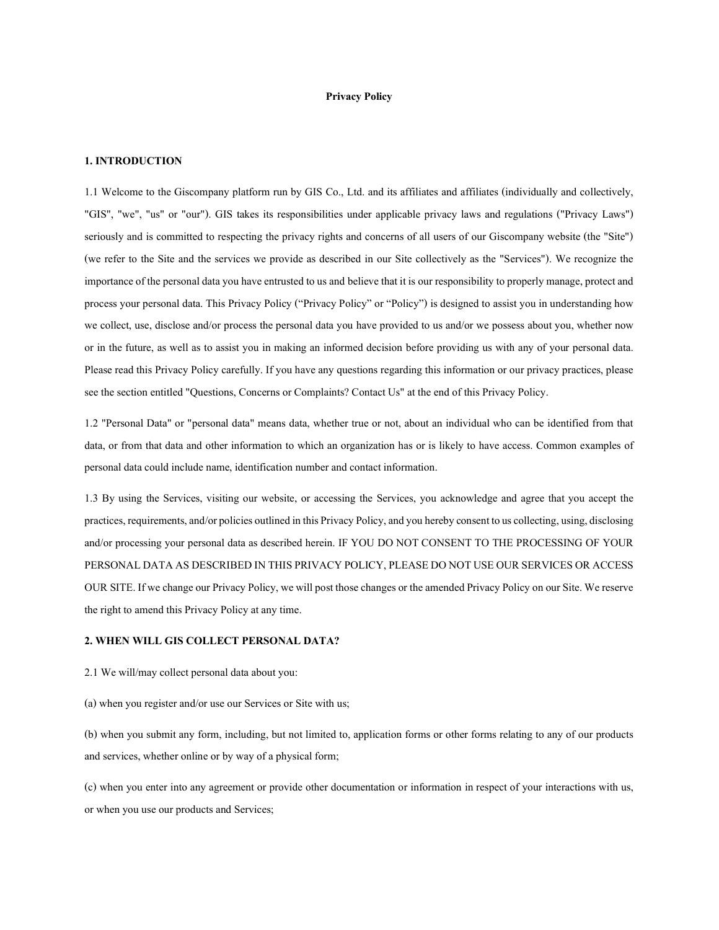## Privacy Policy

## 1. INTRODUCTION

1.1 Welcome to the Giscompany platform run by GIS Co., Ltd. and its affiliates and affiliates (individually and collectively, "GIS", "we", "us" or "our"). GIS takes its responsibilities under applicable privacy laws and regulations ("Privacy Laws") seriously and is committed to respecting the privacy rights and concerns of all users of our Giscompany website (the "Site") (we refer to the Site and the services we provide as described in our Site collectively as the "Services"). We recognize the importance of the personal data you have entrusted to us and believe that it is our responsibility to properly manage, protect and process your personal data. This Privacy Policy ("Privacy Policy" or "Policy") is designed to assist you in understanding how we collect, use, disclose and/or process the personal data you have provided to us and/or we possess about you, whether now or in the future, as well as to assist you in making an informed decision before providing us with any of your personal data. Please read this Privacy Policy carefully. If you have any questions regarding this information or our privacy practices, please see the section entitled "Questions, Concerns or Complaints? Contact Us" at the end of this Privacy Policy.

1.2 "Personal Data" or "personal data" means data, whether true or not, about an individual who can be identified from that data, or from that data and other information to which an organization has or is likely to have access. Common examples of personal data could include name, identification number and contact information.

1.3 By using the Services, visiting our website, or accessing the Services, you acknowledge and agree that you accept the practices, requirements, and/or policies outlined in this Privacy Policy, and you hereby consent to us collecting, using, disclosing and/or processing your personal data as described herein. IF YOU DO NOT CONSENT TO THE PROCESSING OF YOUR PERSONAL DATA AS DESCRIBED IN THIS PRIVACY POLICY, PLEASE DO NOT USE OUR SERVICES OR ACCESS OUR SITE. If we change our Privacy Policy, we will post those changes or the amended Privacy Policy on our Site. We reserve the right to amend this Privacy Policy at any time.

## 2.WHEN WILL GIS COLLECT PERSONAL DATA?

2.1 We will/may collect personal data about you:

(a) when you register and/or use our Services or Site with us;

(b) when you submit any form, including, but not limited to, application forms or other forms relating to any of our products and services, whether online or by way of a physical form;

(c) when you enter into any agreement or provide other documentation or information in respect of your interactions with us, or when you use our products and Services;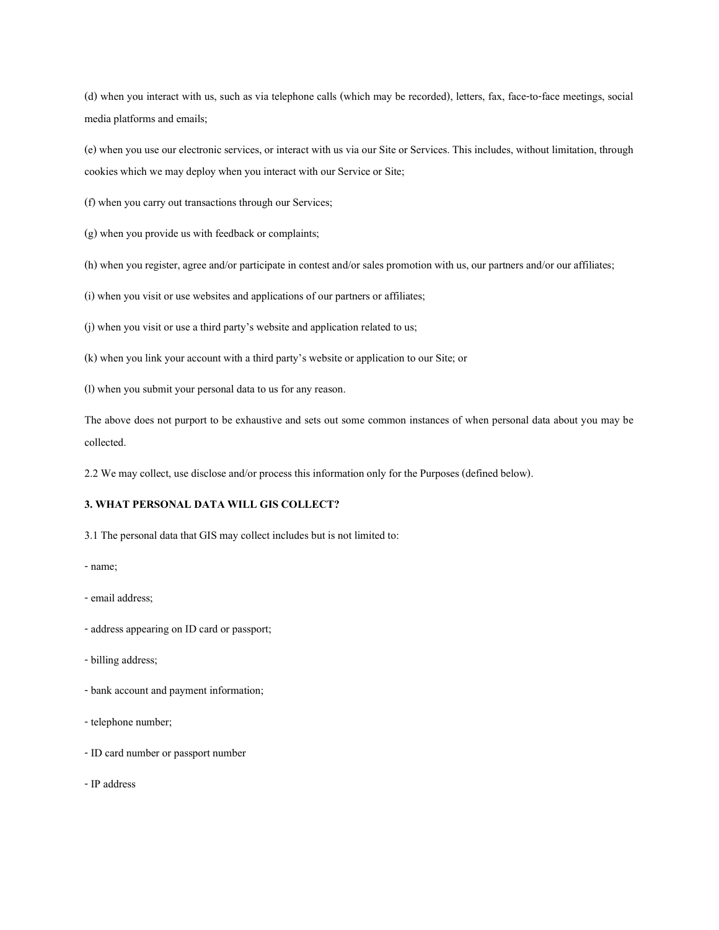(d) when you interact with us, such as via telephone calls (which may be recorded), letters, fax, face-to-face meetings, social media platforms and emails;

(e) when you use our electronic services, or interact with us via our Site or Services. This includes, without limitation, through cookies which we may deploy when you interact with our Service or Site;

(f) when you carry out transactions through our Services;

(g) when you provide us with feedback or complaints;

(h) when you register, agree and/or participate in contest and/or sales promotion with us, our partners and/or our affiliates;

(i) when you visit or use websites and applications of our partners or affiliates;

(j) when you visit or use a third party's website and application related to us;

(k) when you link your account with a third party's website or application to our Site; or

(l) when you submit your personal data to us for any reason.

The above does not purport to be exhaustive and sets out some common instances of when personal data about you may be collected.

2.2 We may collect, use disclose and/or process this information only for the Purposes (defined below).

# 3. WHAT PERSONAL DATA WILL GIS COLLECT?

3.1 The personal data that GIS may collect includes but is not limited to:

- name;

- email address;
- address appearing on ID card or passport;
- billing address;
- bank account and payment information;
- telephone number;
- ID card number or passport number

- IP address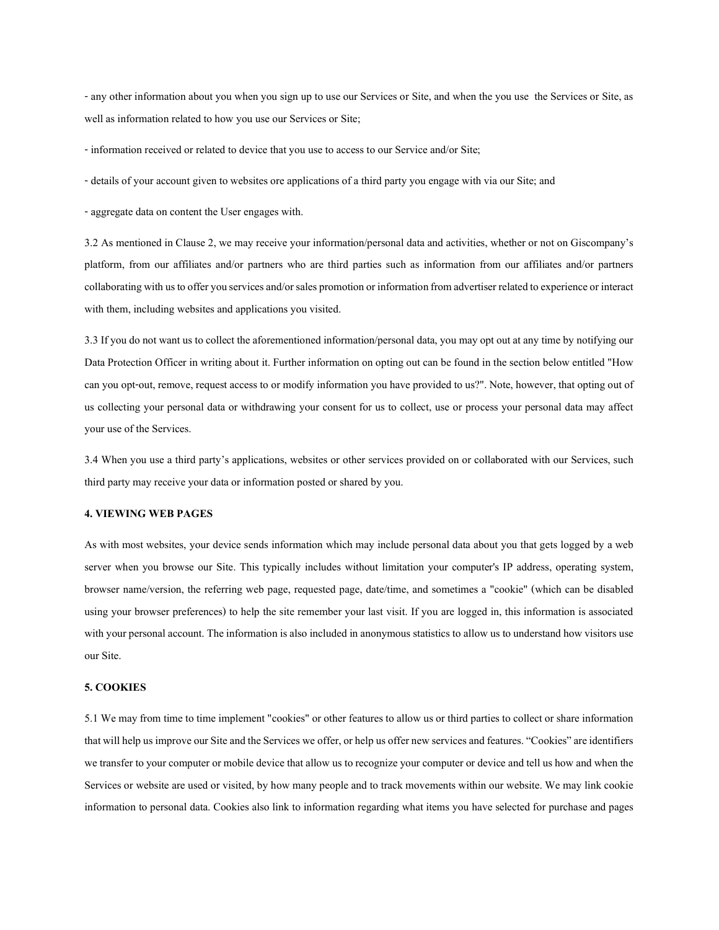- any other information about you when you sign up to use our Services or Site, and when the you use the Services or Site, as well as information related to how you use our Services or Site;

- information received or related to device that you use to access to our Service and/or Site;

- details of your account given to websites ore applications of a third party you engage with via our Site; and

- aggregate data on content the User engages with.

3.2 As mentioned in Clause 2, we may receive your information/personal data and activities, whether or not on Giscompany's platform, from our affiliates and/or partners who are third parties such as information from our affiliates and/or partners collaborating with us to offer you services and/or sales promotion or information from advertiser related to experience or interact with them, including websites and applications you visited.

3.3 If you do not want us to collect the aforementioned information/personal data, you may opt out at any time by notifying our Data Protection Officer in writing about it. Further information on opting out can be found in the section below entitled "How can you opt-out, remove, request access to or modify information you have provided to us?". Note, however, that opting out of us collecting your personal data or withdrawing your consent for us to collect, use or process your personal data may affect your use of the Services.

3.4 When you use a third party's applications, websites or other services provided on or collaborated with our Services, such third party may receive your data or information posted or shared by you.

## 4. VIEWING WEB PAGES

As with most websites, your device sends information which may include personal data about you that gets logged by a web server when you browse our Site. This typically includes without limitation your computer's IP address, operating system, browser name/version, the referring web page, requested page, date/time, and sometimes a "cookie" (which can be disabled using your browser preferences) to help the site remember your last visit. If you are logged in, this information is associated with your personal account. The information is also included in anonymous statistics to allow us to understand how visitors use our Site.

## 5. COOKIES

5.1 We may from time to time implement "cookies" or other features to allow us or third parties to collect or share information that will help us improve our Site and the Services we offer, or help us offer new services and features. "Cookies" are identifiers we transfer to your computer or mobile device that allow us to recognize your computer or device and tell us how and when the Services or website are used or visited, by how many people and to track movements within our website. We may link cookie information to personal data. Cookies also link to information regarding what items you have selected for purchase and pages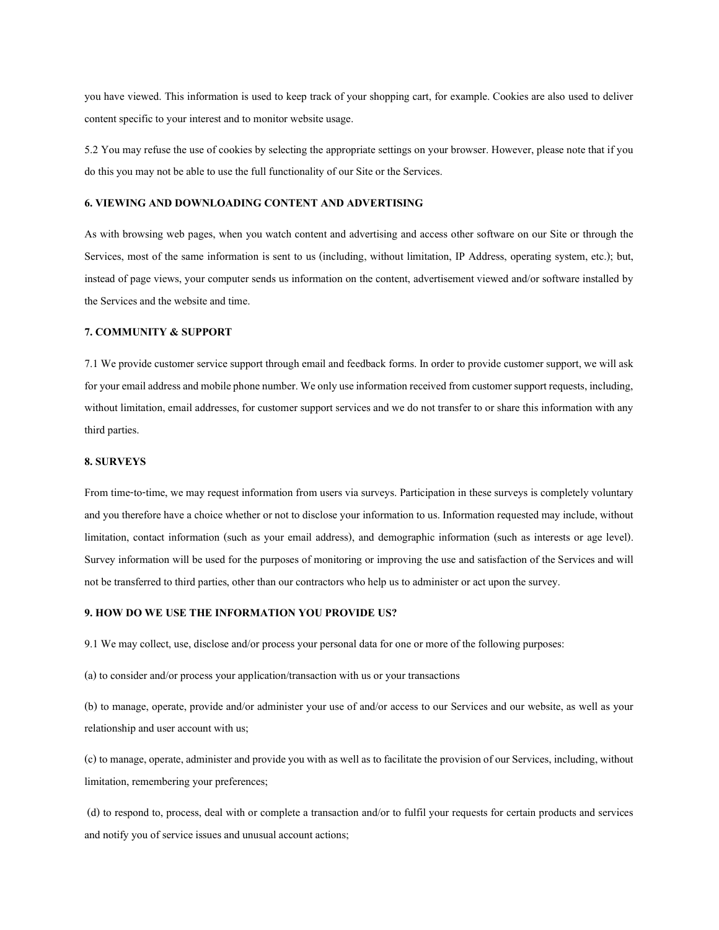you have viewed. This information is used to keep track of your shopping cart, for example. Cookies are also used to deliver content specific to your interest and to monitor website usage.

5.2 You may refuse the use of cookies by selecting the appropriate settings on your browser. However, please note that if you do this you may not be able to use the full functionality of our Site or the Services.

## 6. VIEWING AND DOWNLOADING CONTENT AND ADVERTISING

As with browsing web pages, when you watch content and advertising and access other software on our Site or through the Services, most of the same information is sent to us (including, without limitation, IP Address, operating system, etc.); but, instead of page views, your computer sends us information on the content, advertisement viewed and/or software installed by the Services and the website and time.

## 7. COMMUNITY & SUPPORT

7.1 We provide customer service support through email and feedback forms. In order to provide customer support, we will ask for your email address and mobile phone number. We only use information received from customer support requests, including, without limitation, email addresses, for customer support services and we do not transfer to or share this information with any third parties.

#### 8. SURVEYS

From time-to-time, we may request information from users via surveys. Participation in these surveys is completely voluntary and you therefore have a choice whether or not to disclose your information to us. Information requested may include, without limitation, contact information (such as your email address), and demographic information (such as interests or age level). Survey information will be used for the purposes of monitoring or improving the use and satisfaction of the Services and will not be transferred to third parties, other than our contractors who help us to administer or act upon the survey.

## 9. HOW DO WE USE THE INFORMATION YOU PROVIDE US?

9.1 We may collect, use, disclose and/or process your personal data for one or more of the following purposes:

(a) to consider and/or process your application/transaction with us or your transactions

(b) to manage, operate, provide and/or administer your use of and/or access to our Services and our website, as well as your relationship and user account with us;

(c) to manage, operate, administer and provide you with as well as to facilitate the provision of our Services, including, without limitation, remembering your preferences;

 (d) to respond to, process, deal with or complete a transaction and/or to fulfil your requests for certain products and services and notify you of service issues and unusual account actions;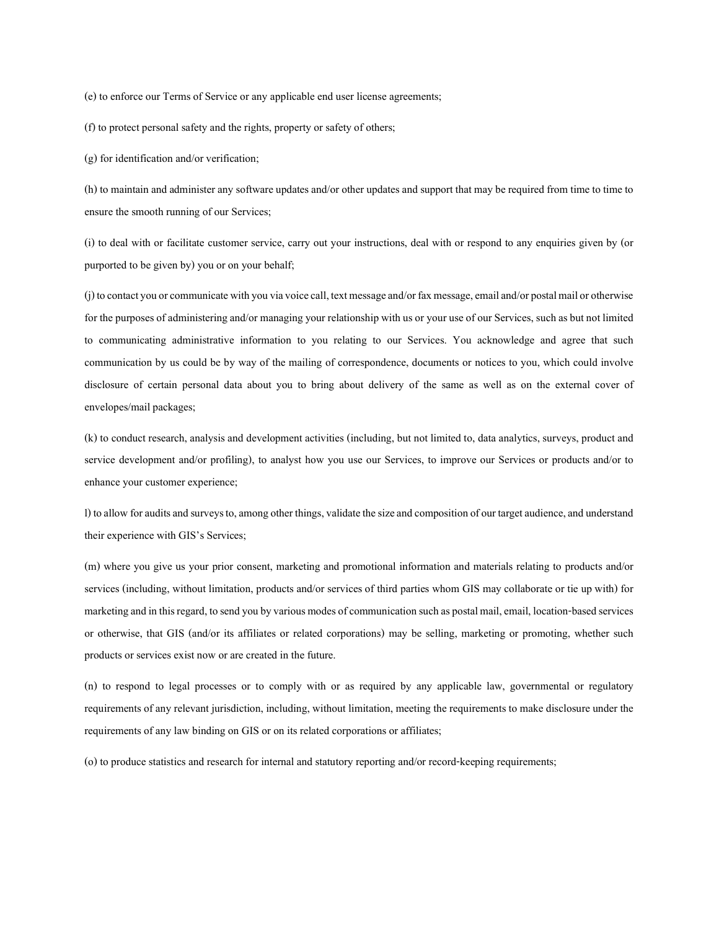(e) to enforce our Terms of Service or any applicable end user license agreements;

(f) to protect personal safety and the rights, property or safety of others;

(g) for identification and/or verification;

(h) to maintain and administer any software updates and/or other updates and support that may be required from time to time to ensure the smooth running of our Services;

(i) to deal with or facilitate customer service, carry out your instructions, deal with or respond to any enquiries given by (or purported to be given by) you or on your behalf;

(j) to contact you or communicate with you via voice call, text message and/or fax message, email and/or postal mail or otherwise for the purposes of administering and/or managing your relationship with us or your use of our Services, such as but not limited to communicating administrative information to you relating to our Services. You acknowledge and agree that such communication by us could be by way of the mailing of correspondence, documents or notices to you, which could involve disclosure of certain personal data about you to bring about delivery of the same as well as on the external cover of envelopes/mail packages;

(k) to conduct research, analysis and development activities (including, but not limited to, data analytics, surveys, product and service development and/or profiling), to analyst how you use our Services, to improve our Services or products and/or to enhance your customer experience;

l) to allow for audits and surveys to, among other things, validate the size and composition of our target audience, and understand their experience with GIS's Services;

(m) where you give us your prior consent, marketing and promotional information and materials relating to products and/or services (including, without limitation, products and/or services of third parties whom GIS may collaborate or tie up with) for marketing and in this regard, to send you by various modes of communication such as postal mail, email, location-based services or otherwise, that GIS (and/or its affiliates or related corporations) may be selling, marketing or promoting, whether such products or services exist now or are created in the future.

(n) to respond to legal processes or to comply with or as required by any applicable law, governmental or regulatory requirements of any relevant jurisdiction, including, without limitation, meeting the requirements to make disclosure under the requirements of any law binding on GIS or on its related corporations or affiliates;

(o) to produce statistics and research for internal and statutory reporting and/or record-keeping requirements;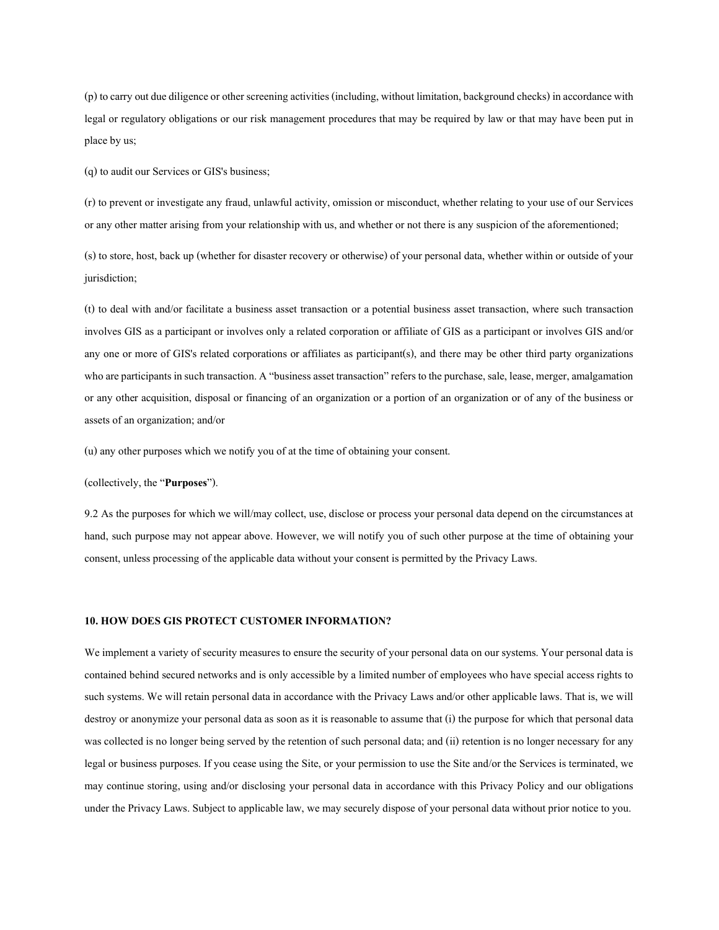(p) to carry out due diligence or other screening activities (including, without limitation, background checks) in accordance with legal or regulatory obligations or our risk management procedures that may be required by law or that may have been put in place by us;

(q) to audit our Services or GIS's business;

(r) to prevent or investigate any fraud, unlawful activity, omission or misconduct, whether relating to your use of our Services or any other matter arising from your relationship with us, and whether or not there is any suspicion of the aforementioned;

(s) to store, host, back up (whether for disaster recovery or otherwise) of your personal data, whether within or outside of your jurisdiction;

(t) to deal with and/or facilitate a business asset transaction or a potential business asset transaction, where such transaction involves GIS as a participant or involves only a related corporation or affiliate of GIS as a participant or involves GIS and/or any one or more of GIS's related corporations or affiliates as participant(s), and there may be other third party organizations who are participants in such transaction. A "business asset transaction" refers to the purchase, sale, lease, merger, amalgamation or any other acquisition, disposal or financing of an organization or a portion of an organization or of any of the business or assets of an organization; and/or

(u) any other purposes which we notify you of at the time of obtaining your consent.

(collectively, the "Purposes").

9.2 As the purposes for which we will/may collect, use, disclose or process your personal data depend on the circumstances at hand, such purpose may not appear above. However, we will notify you of such other purpose at the time of obtaining your consent, unless processing of the applicable data without your consent is permitted by the Privacy Laws.

## 10. HOW DOES GIS PROTECT CUSTOMER INFORMATION?

We implement a variety of security measures to ensure the security of your personal data on our systems. Your personal data is contained behind secured networks and is only accessible by a limited number of employees who have special access rights to such systems. We will retain personal data in accordance with the Privacy Laws and/or other applicable laws. That is, we will destroy or anonymize your personal data as soon as it is reasonable to assume that (i) the purpose for which that personal data was collected is no longer being served by the retention of such personal data; and (ii) retention is no longer necessary for any legal or business purposes. If you cease using the Site, or your permission to use the Site and/or the Services is terminated, we may continue storing, using and/or disclosing your personal data in accordance with this Privacy Policy and our obligations under the Privacy Laws. Subject to applicable law, we may securely dispose of your personal data without prior notice to you.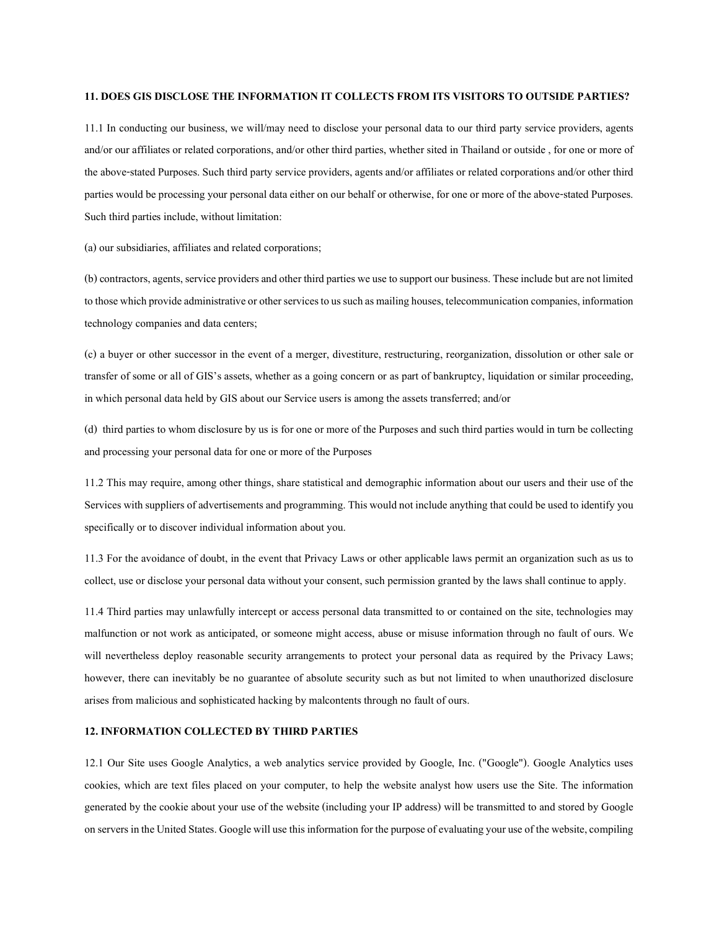## 11. DOES GIS DISCLOSE THE INFORMATION IT COLLECTS FROM ITS VISITORS TO OUTSIDE PARTIES?

11.1 In conducting our business, we will/may need to disclose your personal data to our third party service providers, agents and/or our affiliates or related corporations, and/or other third parties, whether sited in Thailand or outside , for one or more of the above-stated Purposes. Such third party service providers, agents and/or affiliates or related corporations and/or other third parties would be processing your personal data either on our behalf or otherwise, for one or more of the above-stated Purposes. Such third parties include, without limitation:

(a) our subsidiaries, affiliates and related corporations;

(b) contractors, agents, service providers and other third parties we use to support our business. These include but are not limited to those which provide administrative or other services to us such as mailing houses, telecommunication companies, information technology companies and data centers;

(c) a buyer or other successor in the event of a merger, divestiture, restructuring, reorganization, dissolution or other sale or transfer of some or all of GIS's assets, whether as a going concern or as part of bankruptcy, liquidation or similar proceeding, in which personal data held by GIS about our Service users is among the assets transferred; and/or

(d) third parties to whom disclosure by us is for one or more of the Purposes and such third parties would in turn be collecting and processing your personal data for one or more of the Purposes

11.2 This may require, among other things, share statistical and demographic information about our users and their use of the Services with suppliers of advertisements and programming. This would not include anything that could be used to identify you specifically or to discover individual information about you.

11.3 For the avoidance of doubt, in the event that Privacy Laws or other applicable laws permit an organization such as us to collect, use or disclose your personal data without your consent, such permission granted by the laws shall continue to apply.

11.4 Third parties may unlawfully intercept or access personal data transmitted to or contained on the site, technologies may malfunction or not work as anticipated, or someone might access, abuse or misuse information through no fault of ours. We will nevertheless deploy reasonable security arrangements to protect your personal data as required by the Privacy Laws; however, there can inevitably be no guarantee of absolute security such as but not limited to when unauthorized disclosure arises from malicious and sophisticated hacking by malcontents through no fault of ours.

## 12. INFORMATION COLLECTED BY THIRD PARTIES

12.1 Our Site uses Google Analytics, a web analytics service provided by Google, Inc. ("Google"). Google Analytics uses cookies, which are text files placed on your computer, to help the website analyst how users use the Site. The information generated by the cookie about your use of the website (including your IP address) will be transmitted to and stored by Google on servers in the United States. Google will use this information for the purpose of evaluating your use of the website, compiling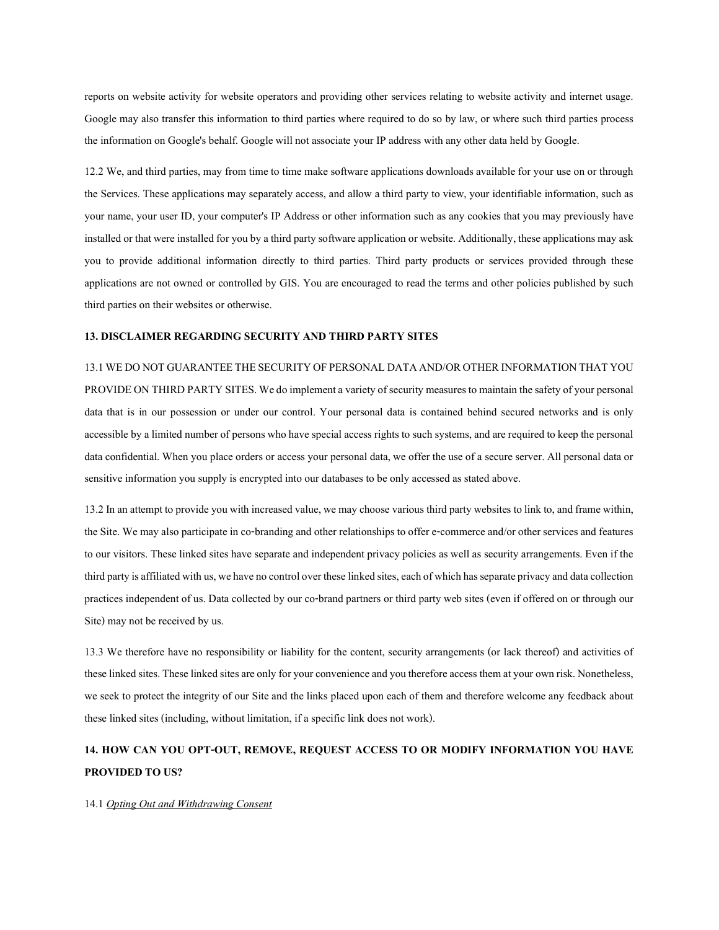reports on website activity for website operators and providing other services relating to website activity and internet usage. Google may also transfer this information to third parties where required to do so by law, or where such third parties process the information on Google's behalf. Google will not associate your IP address with any other data held by Google.

12.2 We, and third parties, may from time to time make software applications downloads available for your use on or through the Services. These applications may separately access, and allow a third party to view, your identifiable information, such as your name, your user ID, your computer's IP Address or other information such as any cookies that you may previously have installed or that were installed for you by a third party software application or website. Additionally, these applications may ask you to provide additional information directly to third parties. Third party products or services provided through these applications are not owned or controlled by GIS. You are encouraged to read the terms and other policies published by such third parties on their websites or otherwise.

## 13. DISCLAIMER REGARDING SECURITY AND THIRD PARTY SITES

13.1 WE DO NOT GUARANTEE THE SECURITY OF PERSONAL DATA AND/OR OTHER INFORMATION THAT YOU PROVIDE ON THIRD PARTY SITES. We do implement a variety of security measures to maintain the safety of your personal data that is in our possession or under our control. Your personal data is contained behind secured networks and is only accessible by a limited number of persons who have special access rights to such systems, and are required to keep the personal data confidential. When you place orders or access your personal data, we offer the use of a secure server. All personal data or sensitive information you supply is encrypted into our databases to be only accessed as stated above.

13.2 In an attempt to provide you with increased value, we may choose various third party websites to link to, and frame within, the Site. We may also participate in co-branding and other relationships to offer e-commerce and/or other services and features to our visitors. These linked sites have separate and independent privacy policies as well as security arrangements. Even if the third party is affiliated with us, we have no control over these linked sites, each of which has separate privacy and data collection practices independent of us. Data collected by our co-brand partners or third party web sites (even if offered on or through our Site) may not be received by us.

13.3 We therefore have no responsibility or liability for the content, security arrangements (or lack thereof) and activities of these linked sites. These linked sites are only for your convenience and you therefore access them at your own risk. Nonetheless, we seek to protect the integrity of our Site and the links placed upon each of them and therefore welcome any feedback about these linked sites (including, without limitation, if a specific link does not work).

# 14. HOW CAN YOU OPT-OUT, REMOVE, REQUEST ACCESS TO OR MODIFY INFORMATION YOU HAVE PROVIDED TO US?

## 14.1 Opting Out and Withdrawing Consent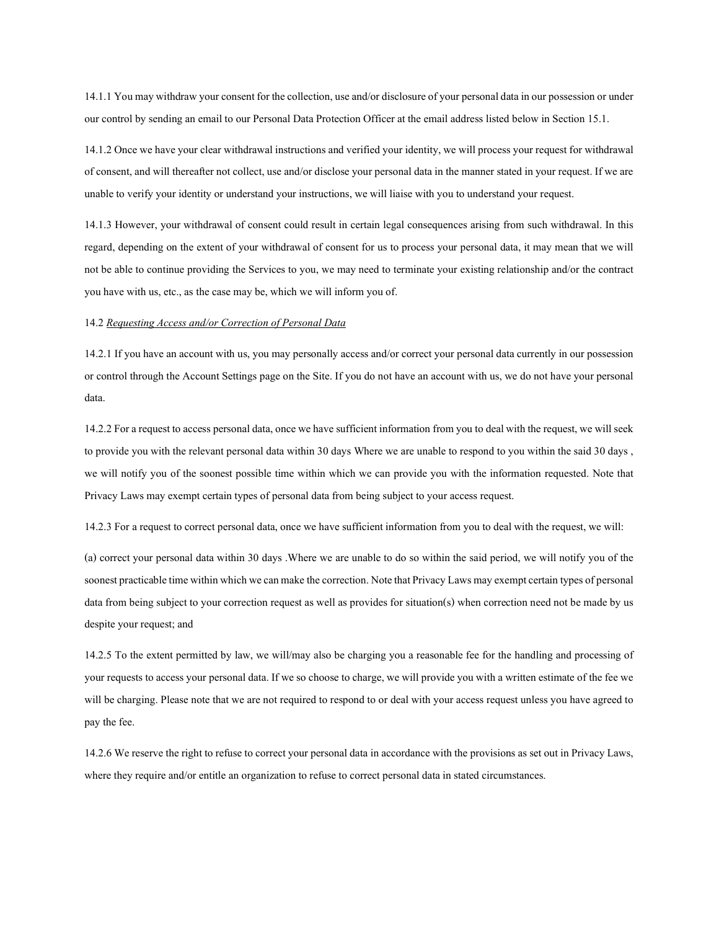14.1.1 You may withdraw your consent for the collection, use and/or disclosure of your personal data in our possession or under our control by sending an email to our Personal Data Protection Officer at the email address listed below in Section 15.1.

14.1.2 Once we have your clear withdrawal instructions and verified your identity, we will process your request for withdrawal of consent, and will thereafter not collect, use and/or disclose your personal data in the manner stated in your request. If we are unable to verify your identity or understand your instructions, we will liaise with you to understand your request.

14.1.3 However, your withdrawal of consent could result in certain legal consequences arising from such withdrawal. In this regard, depending on the extent of your withdrawal of consent for us to process your personal data, it may mean that we will not be able to continue providing the Services to you, we may need to terminate your existing relationship and/or the contract you have with us, etc., as the case may be, which we will inform you of.

## 14.2 Requesting Access and/or Correction of Personal Data

14.2.1 If you have an account with us, you may personally access and/or correct your personal data currently in our possession or control through the Account Settings page on the Site. If you do not have an account with us, we do not have your personal data.

14.2.2 For a request to access personal data, once we have sufficient information from you to deal with the request, we will seek to provide you with the relevant personal data within 30 days Where we are unable to respond to you within the said 30 days , we will notify you of the soonest possible time within which we can provide you with the information requested. Note that Privacy Laws may exempt certain types of personal data from being subject to your access request.

14.2.3 For a request to correct personal data, once we have sufficient information from you to deal with the request, we will:

(a) correct your personal data within 30 days .Where we are unable to do so within the said period, we will notify you of the soonest practicable time within which we can make the correction. Note that Privacy Laws may exempt certain types of personal data from being subject to your correction request as well as provides for situation(s) when correction need not be made by us despite your request; and

14.2.5 To the extent permitted by law, we will/may also be charging you a reasonable fee for the handling and processing of your requests to access your personal data. If we so choose to charge, we will provide you with a written estimate of the fee we will be charging. Please note that we are not required to respond to or deal with your access request unless you have agreed to pay the fee.

14.2.6 We reserve the right to refuse to correct your personal data in accordance with the provisions as set out in Privacy Laws, where they require and/or entitle an organization to refuse to correct personal data in stated circumstances.